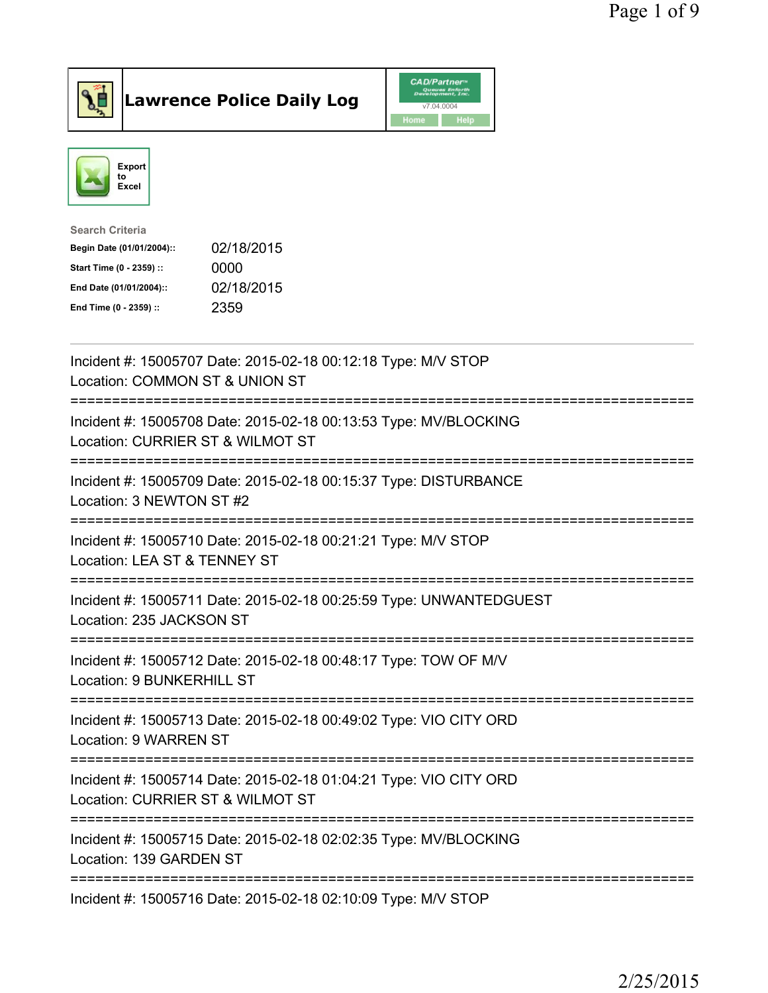



| <b>Search Criteria</b>    |            |
|---------------------------|------------|
| Begin Date (01/01/2004):: | 02/18/2015 |
| Start Time (0 - 2359) ::  | 0000       |
| End Date (01/01/2004)::   | 02/18/2015 |
| End Time (0 - 2359) ::    | 2359       |
|                           |            |

| Incident #: 15005707 Date: 2015-02-18 00:12:18 Type: M/V STOP<br>Location: COMMON ST & UNION ST                       |
|-----------------------------------------------------------------------------------------------------------------------|
| Incident #: 15005708 Date: 2015-02-18 00:13:53 Type: MV/BLOCKING<br>Location: CURRIER ST & WILMOT ST                  |
| Incident #: 15005709 Date: 2015-02-18 00:15:37 Type: DISTURBANCE<br>Location: 3 NEWTON ST #2<br>-------------------   |
| Incident #: 15005710 Date: 2015-02-18 00:21:21 Type: M/V STOP<br>Location: LEA ST & TENNEY ST<br>.------------------- |
| Incident #: 15005711 Date: 2015-02-18 00:25:59 Type: UNWANTEDGUEST<br>Location: 235 JACKSON ST                        |
| Incident #: 15005712 Date: 2015-02-18 00:48:17 Type: TOW OF M/V<br>Location: 9 BUNKERHILL ST                          |
| Incident #: 15005713 Date: 2015-02-18 00:49:02 Type: VIO CITY ORD<br>Location: 9 WARREN ST                            |
| Incident #: 15005714 Date: 2015-02-18 01:04:21 Type: VIO CITY ORD<br>Location: CURRIER ST & WILMOT ST                 |
| Incident #: 15005715 Date: 2015-02-18 02:02:35 Type: MV/BLOCKING<br>Location: 139 GARDEN ST                           |
| Incident #: 15005716 Date: 2015-02-18 02:10:09 Type: M/V STOP                                                         |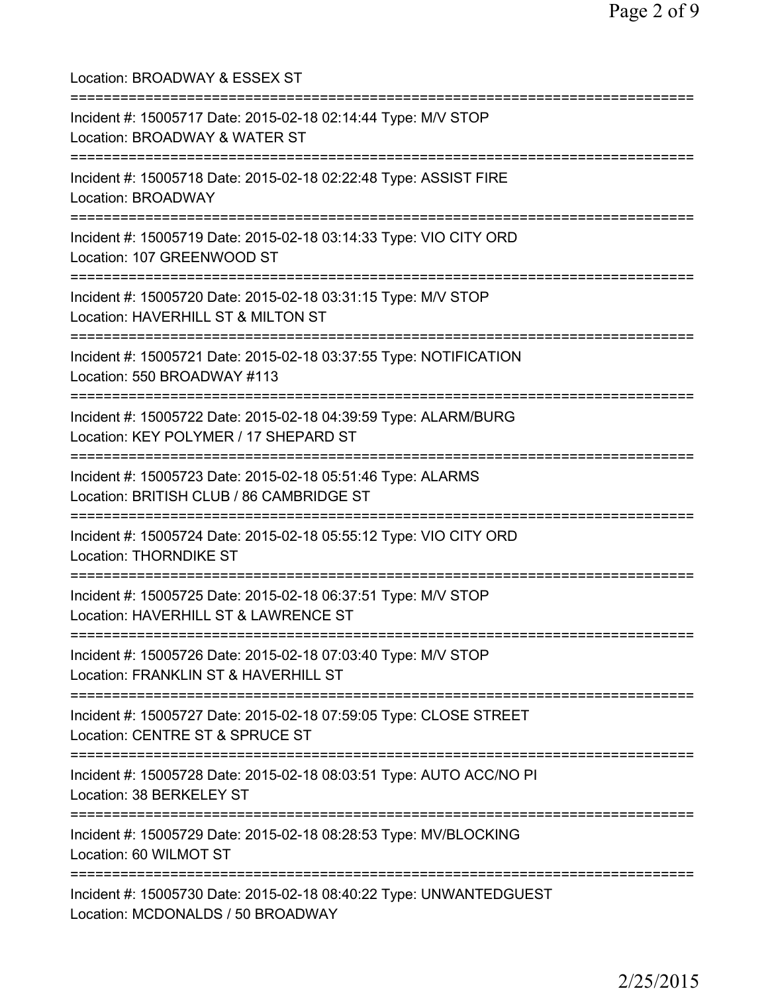Location: BROADWAY & ESSEX ST =========================================================================== Incident #: 15005717 Date: 2015-02-18 02:14:44 Type: M/V STOP Location: BROADWAY & WATER ST =========================================================================== Incident #: 15005718 Date: 2015-02-18 02:22:48 Type: ASSIST FIRE Location: BROADWAY =========================================================================== Incident #: 15005719 Date: 2015-02-18 03:14:33 Type: VIO CITY ORD Location: 107 GREENWOOD ST =========================================================================== Incident #: 15005720 Date: 2015-02-18 03:31:15 Type: M/V STOP Location: HAVERHILL ST & MILTON ST =========================================================================== Incident #: 15005721 Date: 2015-02-18 03:37:55 Type: NOTIFICATION Location: 550 BROADWAY #113 =========================================================================== Incident #: 15005722 Date: 2015-02-18 04:39:59 Type: ALARM/BURG Location: KEY POLYMER / 17 SHEPARD ST =========================================================================== Incident #: 15005723 Date: 2015-02-18 05:51:46 Type: ALARMS Location: BRITISH CLUB / 86 CAMBRIDGE ST =========================================================================== Incident #: 15005724 Date: 2015-02-18 05:55:12 Type: VIO CITY ORD Location: THORNDIKE ST =========================================================================== Incident #: 15005725 Date: 2015-02-18 06:37:51 Type: M/V STOP Location: HAVERHILL ST & LAWRENCE ST =========================================================================== Incident #: 15005726 Date: 2015-02-18 07:03:40 Type: M/V STOP Location: FRANKLIN ST & HAVERHILL ST =========================================================================== Incident #: 15005727 Date: 2015-02-18 07:59:05 Type: CLOSE STREET Location: CENTRE ST & SPRUCE ST =========================================================================== Incident #: 15005728 Date: 2015-02-18 08:03:51 Type: AUTO ACC/NO PI Location: 38 BERKELEY ST =========================================================================== Incident #: 15005729 Date: 2015-02-18 08:28:53 Type: MV/BLOCKING Location: 60 WILMOT ST =========================================================================== Incident #: 15005730 Date: 2015-02-18 08:40:22 Type: UNWANTEDGUEST Location: MCDONALDS / 50 BROADWAY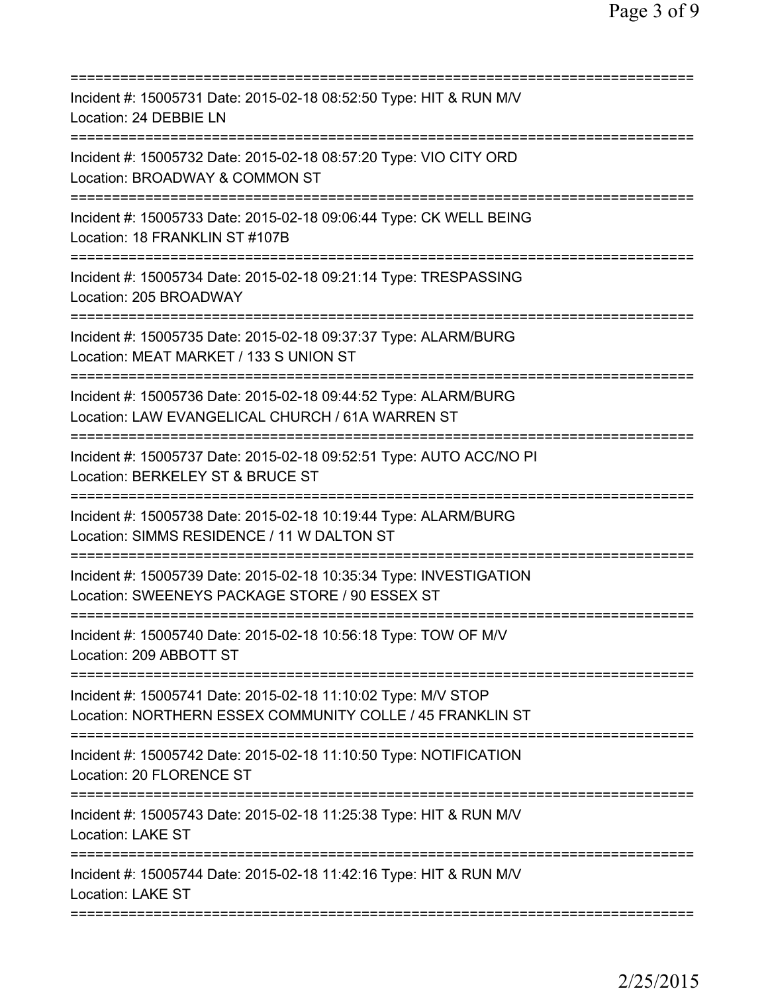| Incident #: 15005731 Date: 2015-02-18 08:52:50 Type: HIT & RUN M/V<br>Location: 24 DEBBIE LN                                                                                          |
|---------------------------------------------------------------------------------------------------------------------------------------------------------------------------------------|
| Incident #: 15005732 Date: 2015-02-18 08:57:20 Type: VIO CITY ORD<br>Location: BROADWAY & COMMON ST                                                                                   |
| Incident #: 15005733 Date: 2015-02-18 09:06:44 Type: CK WELL BEING<br>Location: 18 FRANKLIN ST #107B                                                                                  |
| Incident #: 15005734 Date: 2015-02-18 09:21:14 Type: TRESPASSING<br>Location: 205 BROADWAY                                                                                            |
| Incident #: 15005735 Date: 2015-02-18 09:37:37 Type: ALARM/BURG<br>Location: MEAT MARKET / 133 S UNION ST                                                                             |
| ===========================<br>Incident #: 15005736 Date: 2015-02-18 09:44:52 Type: ALARM/BURG<br>Location: LAW EVANGELICAL CHURCH / 61A WARREN ST                                    |
| =========================<br>Incident #: 15005737 Date: 2015-02-18 09:52:51 Type: AUTO ACC/NO PI<br>Location: BERKELEY ST & BRUCE ST<br>===========================<br>============== |
| Incident #: 15005738 Date: 2015-02-18 10:19:44 Type: ALARM/BURG<br>Location: SIMMS RESIDENCE / 11 W DALTON ST<br>===========================                                          |
| Incident #: 15005739 Date: 2015-02-18 10:35:34 Type: INVESTIGATION<br>Location: SWEENEYS PACKAGE STORE / 90 ESSEX ST                                                                  |
| Incident #: 15005740 Date: 2015-02-18 10:56:18 Type: TOW OF M/V<br>Location: 209 ABBOTT ST                                                                                            |
| Incident #: 15005741 Date: 2015-02-18 11:10:02 Type: M/V STOP<br>Location: NORTHERN ESSEX COMMUNITY COLLE / 45 FRANKLIN ST                                                            |
| Incident #: 15005742 Date: 2015-02-18 11:10:50 Type: NOTIFICATION<br>Location: 20 FLORENCE ST                                                                                         |
| Incident #: 15005743 Date: 2015-02-18 11:25:38 Type: HIT & RUN M/V<br><b>Location: LAKE ST</b>                                                                                        |
| Incident #: 15005744 Date: 2015-02-18 11:42:16 Type: HIT & RUN M/V<br><b>Location: LAKE ST</b>                                                                                        |
|                                                                                                                                                                                       |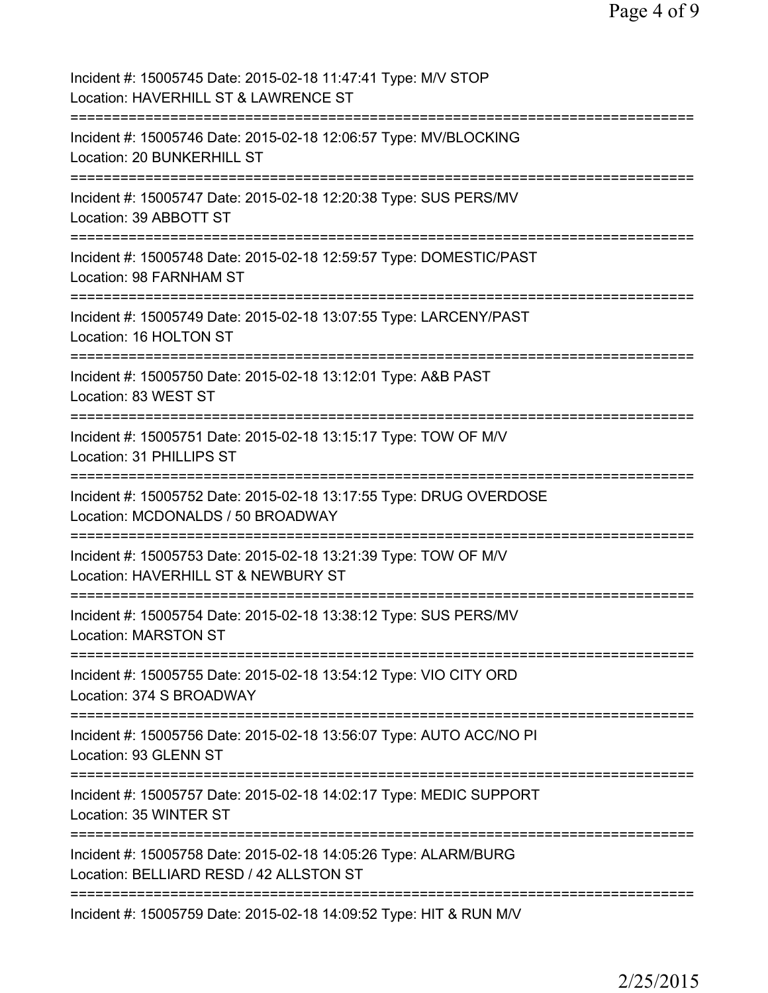| Incident #: 15005745 Date: 2015-02-18 11:47:41 Type: M/V STOP<br>Location: HAVERHILL ST & LAWRENCE ST      |
|------------------------------------------------------------------------------------------------------------|
| Incident #: 15005746 Date: 2015-02-18 12:06:57 Type: MV/BLOCKING<br>Location: 20 BUNKERHILL ST             |
| Incident #: 15005747 Date: 2015-02-18 12:20:38 Type: SUS PERS/MV<br>Location: 39 ABBOTT ST                 |
| Incident #: 15005748 Date: 2015-02-18 12:59:57 Type: DOMESTIC/PAST<br>Location: 98 FARNHAM ST              |
| Incident #: 15005749 Date: 2015-02-18 13:07:55 Type: LARCENY/PAST<br>Location: 16 HOLTON ST                |
| Incident #: 15005750 Date: 2015-02-18 13:12:01 Type: A&B PAST<br>Location: 83 WEST ST                      |
| Incident #: 15005751 Date: 2015-02-18 13:15:17 Type: TOW OF M/V<br>Location: 31 PHILLIPS ST                |
| Incident #: 15005752 Date: 2015-02-18 13:17:55 Type: DRUG OVERDOSE<br>Location: MCDONALDS / 50 BROADWAY    |
| Incident #: 15005753 Date: 2015-02-18 13:21:39 Type: TOW OF M/V<br>Location: HAVERHILL ST & NEWBURY ST     |
| Incident #: 15005754 Date: 2015-02-18 13:38:12 Type: SUS PERS/MV<br><b>Location: MARSTON ST</b>            |
| Incident #: 15005755 Date: 2015-02-18 13:54:12 Type: VIO CITY ORD<br>Location: 374 S BROADWAY              |
| Incident #: 15005756 Date: 2015-02-18 13:56:07 Type: AUTO ACC/NO PI<br>Location: 93 GLENN ST               |
| Incident #: 15005757 Date: 2015-02-18 14:02:17 Type: MEDIC SUPPORT<br>Location: 35 WINTER ST               |
| Incident #: 15005758 Date: 2015-02-18 14:05:26 Type: ALARM/BURG<br>Location: BELLIARD RESD / 42 ALLSTON ST |
| Incident #: 15005759 Date: 2015-02-18 14:09:52 Type: HIT & RUN M/V                                         |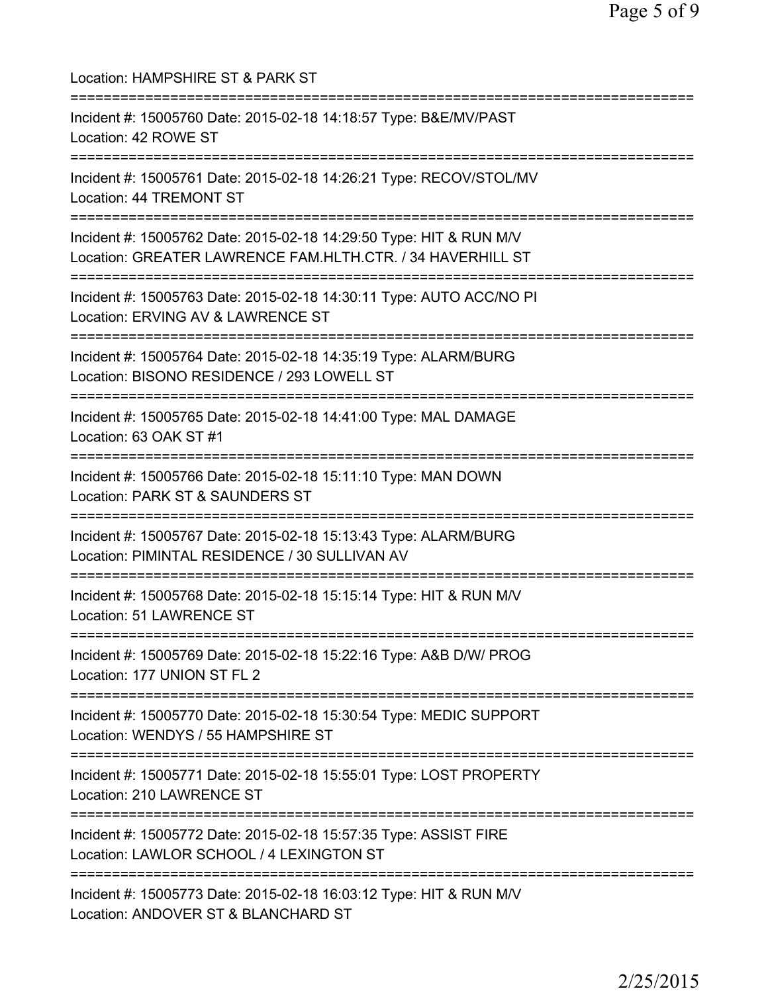| Location: HAMPSHIRE ST & PARK ST                                                                                                             |
|----------------------------------------------------------------------------------------------------------------------------------------------|
| Incident #: 15005760 Date: 2015-02-18 14:18:57 Type: B&E/MV/PAST<br>Location: 42 ROWE ST                                                     |
| Incident #: 15005761 Date: 2015-02-18 14:26:21 Type: RECOV/STOL/MV<br>Location: 44 TREMONT ST                                                |
| Incident #: 15005762 Date: 2015-02-18 14:29:50 Type: HIT & RUN M/V<br>Location: GREATER LAWRENCE FAM.HLTH.CTR. / 34 HAVERHILL ST             |
| Incident #: 15005763 Date: 2015-02-18 14:30:11 Type: AUTO ACC/NO PI<br>Location: ERVING AV & LAWRENCE ST<br>:==============================  |
| Incident #: 15005764 Date: 2015-02-18 14:35:19 Type: ALARM/BURG<br>Location: BISONO RESIDENCE / 293 LOWELL ST<br>--------------------------- |
| Incident #: 15005765 Date: 2015-02-18 14:41:00 Type: MAL DAMAGE<br>Location: 63 OAK ST #1                                                    |
| Incident #: 15005766 Date: 2015-02-18 15:11:10 Type: MAN DOWN<br>Location: PARK ST & SAUNDERS ST                                             |
| Incident #: 15005767 Date: 2015-02-18 15:13:43 Type: ALARM/BURG<br>Location: PIMINTAL RESIDENCE / 30 SULLIVAN AV                             |
| Incident #: 15005768 Date: 2015-02-18 15:15:14 Type: HIT & RUN M/V<br>Location: 51 LAWRENCE ST                                               |
| Incident #: 15005769 Date: 2015-02-18 15:22:16 Type: A&B D/W/ PROG<br>Location: 177 UNION ST FL 2                                            |
| Incident #: 15005770 Date: 2015-02-18 15:30:54 Type: MEDIC SUPPORT<br>Location: WENDYS / 55 HAMPSHIRE ST                                     |
| Incident #: 15005771 Date: 2015-02-18 15:55:01 Type: LOST PROPERTY<br>Location: 210 LAWRENCE ST                                              |
| Incident #: 15005772 Date: 2015-02-18 15:57:35 Type: ASSIST FIRE<br>Location: LAWLOR SCHOOL / 4 LEXINGTON ST                                 |
| Incident #: 15005773 Date: 2015-02-18 16:03:12 Type: HIT & RUN M/V<br>Location: ANDOVER ST & BLANCHARD ST                                    |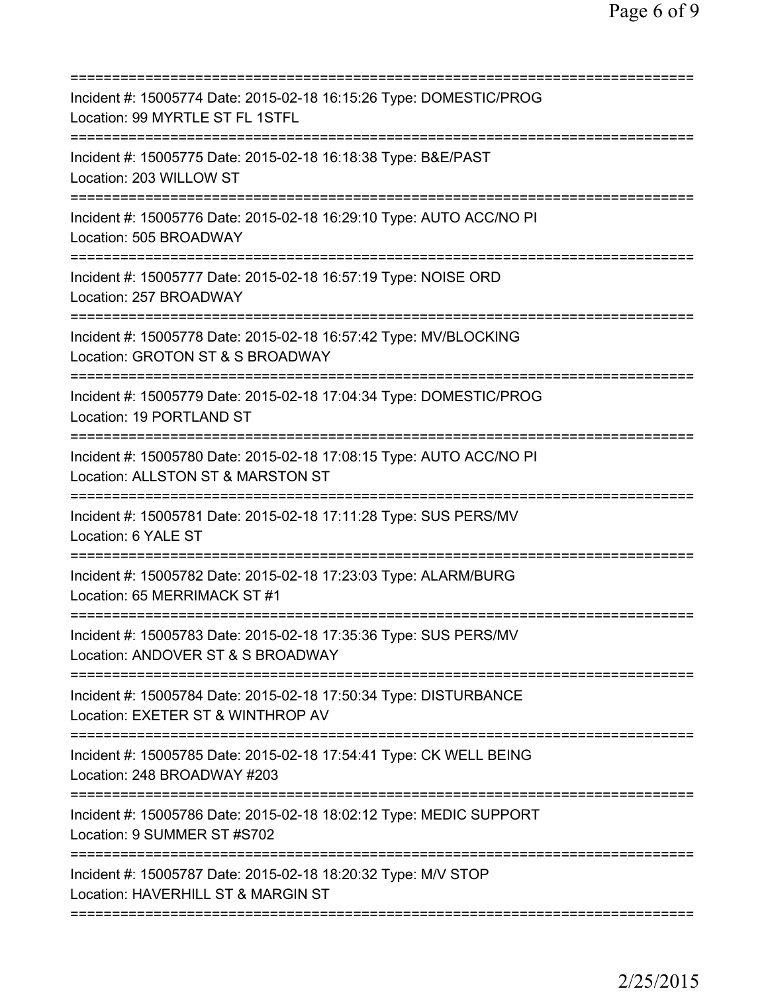| Incident #: 15005774 Date: 2015-02-18 16:15:26 Type: DOMESTIC/PROG<br>Location: 99 MYRTLE ST FL 1STFL                                        |
|----------------------------------------------------------------------------------------------------------------------------------------------|
| Incident #: 15005775 Date: 2015-02-18 16:18:38 Type: B&E/PAST<br>Location: 203 WILLOW ST                                                     |
| Incident #: 15005776 Date: 2015-02-18 16:29:10 Type: AUTO ACC/NO PI<br>Location: 505 BROADWAY                                                |
| Incident #: 15005777 Date: 2015-02-18 16:57:19 Type: NOISE ORD<br>Location: 257 BROADWAY                                                     |
| Incident #: 15005778 Date: 2015-02-18 16:57:42 Type: MV/BLOCKING<br>Location: GROTON ST & S BROADWAY                                         |
| Incident #: 15005779 Date: 2015-02-18 17:04:34 Type: DOMESTIC/PROG<br>Location: 19 PORTLAND ST                                               |
| Incident #: 15005780 Date: 2015-02-18 17:08:15 Type: AUTO ACC/NO PI<br>Location: ALLSTON ST & MARSTON ST<br>===========================      |
| Incident #: 15005781 Date: 2015-02-18 17:11:28 Type: SUS PERS/MV<br>Location: 6 YALE ST                                                      |
| Incident #: 15005782 Date: 2015-02-18 17:23:03 Type: ALARM/BURG<br>Location: 65 MERRIMACK ST #1                                              |
| Incident #: 15005783 Date: 2015-02-18 17:35:36 Type: SUS PERS/MV<br>Location: ANDOVER ST & S BROADWAY                                        |
| ===================================<br>Incident #: 15005784 Date: 2015-02-18 17:50:34 Type: DISTURBANCE<br>Location: EXETER ST & WINTHROP AV |
| Incident #: 15005785 Date: 2015-02-18 17:54:41 Type: CK WELL BEING<br>Location: 248 BROADWAY #203                                            |
| Incident #: 15005786 Date: 2015-02-18 18:02:12 Type: MEDIC SUPPORT<br>Location: 9 SUMMER ST #S702                                            |
| Incident #: 15005787 Date: 2015-02-18 18:20:32 Type: M/V STOP<br>Location: HAVERHILL ST & MARGIN ST                                          |
|                                                                                                                                              |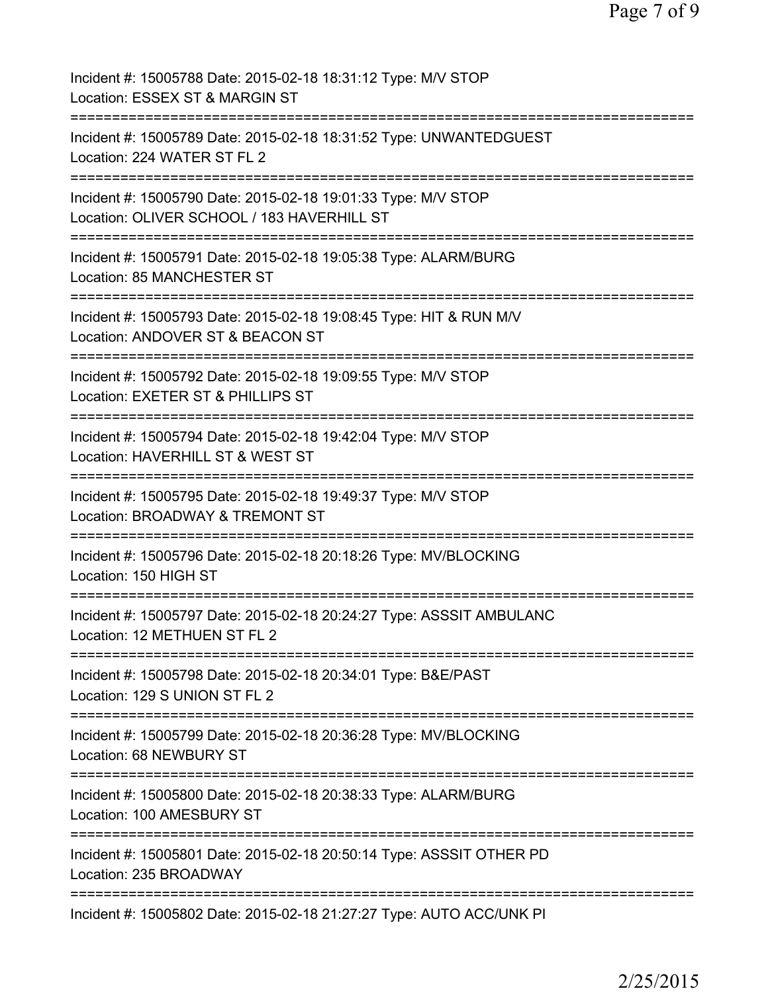Page 7 of 9

| Incident #: 15005788 Date: 2015-02-18 18:31:12 Type: M/V STOP<br>Location: ESSEX ST & MARGIN ST                            |
|----------------------------------------------------------------------------------------------------------------------------|
| Incident #: 15005789 Date: 2015-02-18 18:31:52 Type: UNWANTEDGUEST<br>Location: 224 WATER ST FL 2                          |
| Incident #: 15005790 Date: 2015-02-18 19:01:33 Type: M/V STOP<br>Location: OLIVER SCHOOL / 183 HAVERHILL ST                |
| :========================<br>Incident #: 15005791 Date: 2015-02-18 19:05:38 Type: ALARM/BURG<br>Location: 85 MANCHESTER ST |
| Incident #: 15005793 Date: 2015-02-18 19:08:45 Type: HIT & RUN M/V<br>Location: ANDOVER ST & BEACON ST                     |
| Incident #: 15005792 Date: 2015-02-18 19:09:55 Type: M/V STOP<br>Location: EXETER ST & PHILLIPS ST                         |
| Incident #: 15005794 Date: 2015-02-18 19:42:04 Type: M/V STOP<br>Location: HAVERHILL ST & WEST ST                          |
| Incident #: 15005795 Date: 2015-02-18 19:49:37 Type: M/V STOP<br>Location: BROADWAY & TREMONT ST                           |
| Incident #: 15005796 Date: 2015-02-18 20:18:26 Type: MV/BLOCKING<br>Location: 150 HIGH ST                                  |
| Incident #: 15005797 Date: 2015-02-18 20:24:27 Type: ASSSIT AMBULANC<br>Location: 12 METHUEN ST FL 2                       |
| Incident #: 15005798 Date: 2015-02-18 20:34:01 Type: B&E/PAST<br>Location: 129 S UNION ST FL 2                             |
| Incident #: 15005799 Date: 2015-02-18 20:36:28 Type: MV/BLOCKING<br>Location: 68 NEWBURY ST                                |
| Incident #: 15005800 Date: 2015-02-18 20:38:33 Type: ALARM/BURG<br>Location: 100 AMESBURY ST                               |
| Incident #: 15005801 Date: 2015-02-18 20:50:14 Type: ASSSIT OTHER PD<br>Location: 235 BROADWAY                             |
| Incident #: 15005802 Date: 2015-02-18 21:27:27 Type: AUTO ACC/UNK PI                                                       |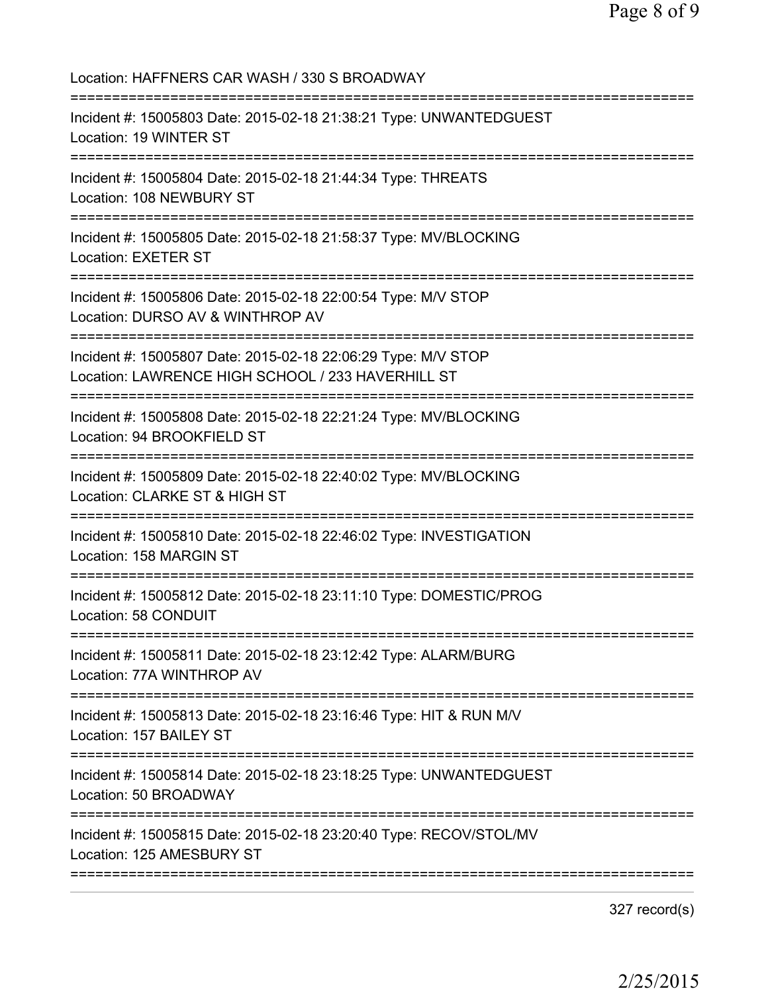| Location: HAFFNERS CAR WASH / 330 S BROADWAY                                                                           |
|------------------------------------------------------------------------------------------------------------------------|
| Incident #: 15005803 Date: 2015-02-18 21:38:21 Type: UNWANTEDGUEST<br>Location: 19 WINTER ST                           |
| Incident #: 15005804 Date: 2015-02-18 21:44:34 Type: THREATS<br>Location: 108 NEWBURY ST                               |
| Incident #: 15005805 Date: 2015-02-18 21:58:37 Type: MV/BLOCKING<br><b>Location: EXETER ST</b><br>-------------------- |
| Incident #: 15005806 Date: 2015-02-18 22:00:54 Type: M/V STOP<br>Location: DURSO AV & WINTHROP AV                      |
| Incident #: 15005807 Date: 2015-02-18 22:06:29 Type: M/V STOP<br>Location: LAWRENCE HIGH SCHOOL / 233 HAVERHILL ST     |
| Incident #: 15005808 Date: 2015-02-18 22:21:24 Type: MV/BLOCKING<br>Location: 94 BROOKFIELD ST                         |
| Incident #: 15005809 Date: 2015-02-18 22:40:02 Type: MV/BLOCKING<br>Location: CLARKE ST & HIGH ST                      |
| Incident #: 15005810 Date: 2015-02-18 22:46:02 Type: INVESTIGATION<br>Location: 158 MARGIN ST                          |
| Incident #: 15005812 Date: 2015-02-18 23:11:10 Type: DOMESTIC/PROG<br><b>Location: 58 CONDUIT</b>                      |
| Incident #: 15005811 Date: 2015-02-18 23:12:42 Type: ALARM/BURG<br>Location: 77A WINTHROP AV                           |
| Incident #: 15005813 Date: 2015-02-18 23:16:46 Type: HIT & RUN M/V<br>Location: 157 BAILEY ST                          |
| Incident #: 15005814 Date: 2015-02-18 23:18:25 Type: UNWANTEDGUEST<br>Location: 50 BROADWAY                            |
| Incident #: 15005815 Date: 2015-02-18 23:20:40 Type: RECOV/STOL/MV<br>Location: 125 AMESBURY ST                        |
|                                                                                                                        |

327 record(s)